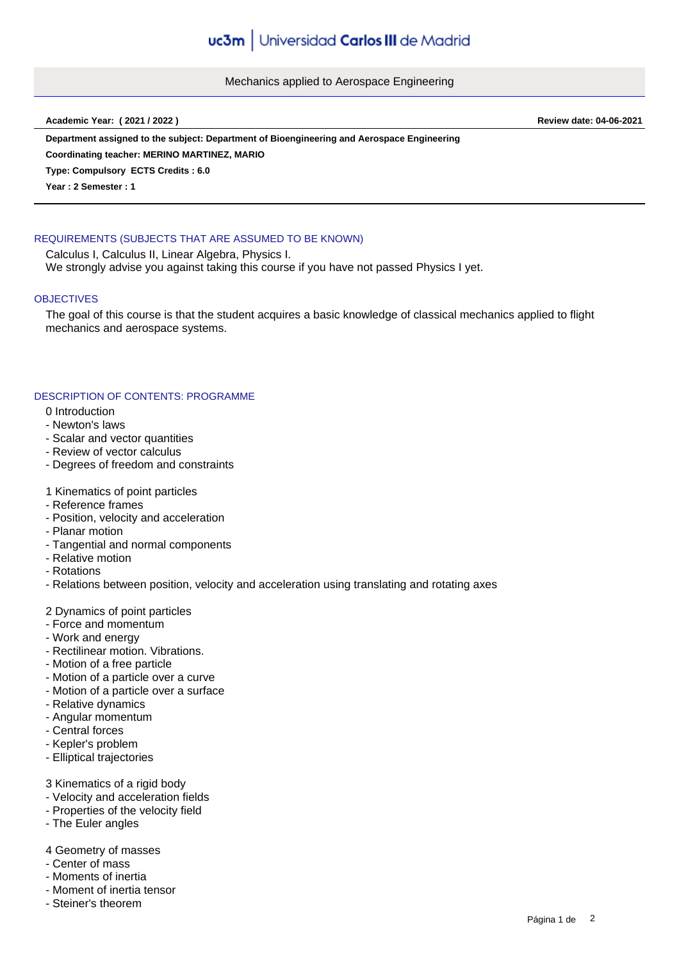Mechanics applied to Aerospace Engineering

**Academic Year: ( 2021 / 2022 ) Review date: 04-06-2021**

**Department assigned to the subject: Department of Bioengineering and Aerospace Engineering**

**Coordinating teacher: MERINO MARTINEZ, MARIO**

**Type: Compulsory ECTS Credits : 6.0**

**Year : 2 Semester : 1**

# REQUIREMENTS (SUBJECTS THAT ARE ASSUMED TO BE KNOWN)

Calculus I, Calculus II, Linear Algebra, Physics I. We strongly advise you against taking this course if you have not passed Physics I yet.

## **OBJECTIVES**

The goal of this course is that the student acquires a basic knowledge of classical mechanics applied to flight mechanics and aerospace systems.

## DESCRIPTION OF CONTENTS: PROGRAMME

- 0 Introduction
- Newton's laws
- Scalar and vector quantities
- Review of vector calculus
- Degrees of freedom and constraints
- 1 Kinematics of point particles
- Reference frames
- Position, velocity and acceleration
- Planar motion
- Tangential and normal components
- Relative motion
- Rotations
- Relations between position, velocity and acceleration using translating and rotating axes

## 2 Dynamics of point particles

- Force and momentum
- Work and energy
- Rectilinear motion. Vibrations.
- Motion of a free particle
- Motion of a particle over a curve
- Motion of a particle over a surface
- Relative dynamics
- Angular momentum
- Central forces
- Kepler's problem
- Elliptical trajectories

3 Kinematics of a rigid body

- Velocity and acceleration fields
- Properties of the velocity field
- The Euler angles

## 4 Geometry of masses

- Center of mass
- Moments of inertia
- Moment of inertia tensor
- Steiner's theorem